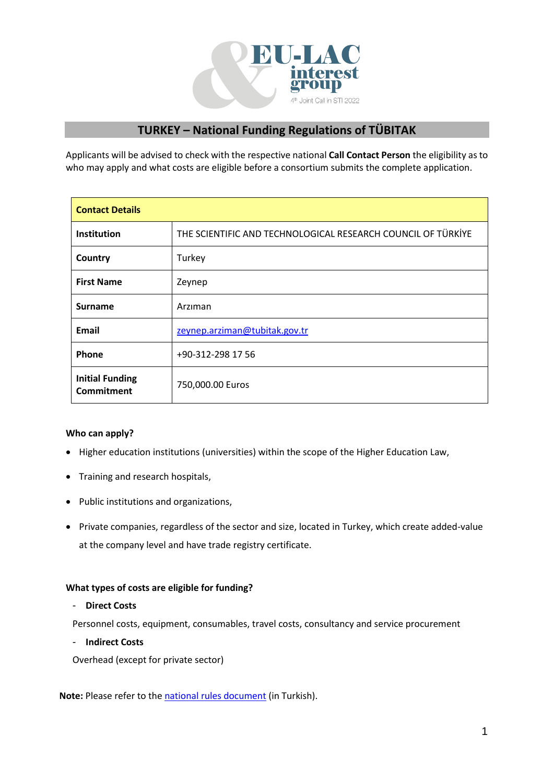

# **TURKEY – National Funding Regulations of TÜBITAK**

Applicants will be advised to check with the respective national **Call Contact Person** the eligibility as to who may apply and what costs are eligible before a consortium submits the complete application.

| <b>Contact Details</b>                      |                                                              |
|---------------------------------------------|--------------------------------------------------------------|
| <b>Institution</b>                          | THE SCIENTIFIC AND TECHNOLOGICAL RESEARCH COUNCIL OF TÜRKIYE |
| Country                                     | Turkey                                                       |
| <b>First Name</b>                           | Zeynep                                                       |
| <b>Surname</b>                              | Arziman                                                      |
| Email                                       | zeynep.arziman@tubitak.gov.tr                                |
| Phone                                       | +90-312-298 17 56                                            |
| <b>Initial Funding</b><br><b>Commitment</b> | 750,000.00 Euros                                             |

## **Who can apply?**

- Higher education institutions (universities) within the scope of the Higher Education Law,
- Training and research hospitals,
- Public institutions and organizations,
- Private companies, regardless of the sector and size, located in Turkey, which create added-value at the company level and have trade registry certificate.

#### **What types of costs are eligible for funding?**

### - **Direct Costs**

Personnel costs, equipment, consumables, travel costs, consultancy and service procurement

- **Indirect Costs**

Overhead (except for private sector)

**Note:** Please refer to the [national rules document](https://tubitak.gov.tr/sites/default/files/19506/eucelac_surec.pdf) (in Turkish).